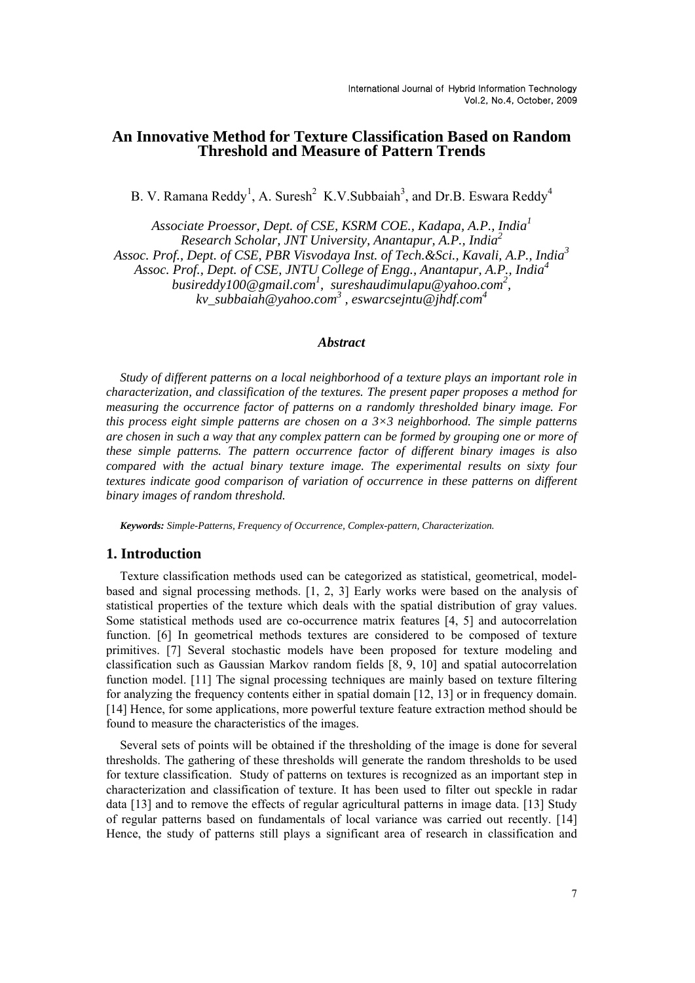## **An Innovative Method for Texture Classification Based on Random Threshold and Measure of Pattern Trends**

B. V. Ramana Reddy<sup>1</sup>, A. Suresh<sup>2</sup> K.V.Subbaiah<sup>3</sup>, and Dr.B. Eswara Reddy<sup>4</sup>

*Associate Proessor, Dept. of CSE, KSRM COE., Kadapa, A.P., India<sup>1</sup> Research Scholar, JNT University, Anantapur, A.P., India<sup>2</sup> Assoc. Prof., Dept. of CSE, PBR Visvodaya Inst. of Tech.&Sci., Kavali, A.P., India<sup>3</sup> Assoc. Prof., Dept. of CSE, JNTU College of Engg., Anantapur, A.P., India<sup>4</sup> busireddy100@gmail.com<sup>1</sup> , sureshaudimulapu@yahoo.com<sup>2</sup> , kv\_subbaiah@yahoo.com<sup>3</sup> , eswarcsejntu@jhdf.com<sup>4</sup>*

### *Abstract*

*Study of different patterns on a local neighborhood of a texture plays an important role in characterization, and classification of the textures. The present paper proposes a method for measuring the occurrence factor of patterns on a randomly thresholded binary image. For this process eight simple patterns are chosen on a 3×3 neighborhood. The simple patterns are chosen in such a way that any complex pattern can be formed by grouping one or more of these simple patterns. The pattern occurrence factor of different binary images is also compared with the actual binary texture image. The experimental results on sixty four textures indicate good comparison of variation of occurrence in these patterns on different binary images of random threshold.* 

*Keywords: Simple-Patterns, Frequency of Occurrence, Complex-pattern, Characterization.* 

### **1. Introduction**

Texture classification methods used can be categorized as statistical, geometrical, modelbased and signal processing methods. [1, 2, 3] Early works were based on the analysis of statistical properties of the texture which deals with the spatial distribution of gray values. Some statistical methods used are co-occurrence matrix features [4, 5] and autocorrelation function. [6] In geometrical methods textures are considered to be composed of texture primitives. [7] Several stochastic models have been proposed for texture modeling and classification such as Gaussian Markov random fields [8, 9, 10] and spatial autocorrelation function model. [11] The signal processing techniques are mainly based on texture filtering for analyzing the frequency contents either in spatial domain [12, 13] or in frequency domain. [14] Hence, for some applications, more powerful texture feature extraction method should be found to measure the characteristics of the images.

Several sets of points will be obtained if the thresholding of the image is done for several thresholds. The gathering of these thresholds will generate the random thresholds to be used for texture classification. Study of patterns on textures is recognized as an important step in characterization and classification of texture. It has been used to filter out speckle in radar data [13] and to remove the effects of regular agricultural patterns in image data. [13] Study of regular patterns based on fundamentals of local variance was carried out recently. [14] Hence, the study of patterns still plays a significant area of research in classification and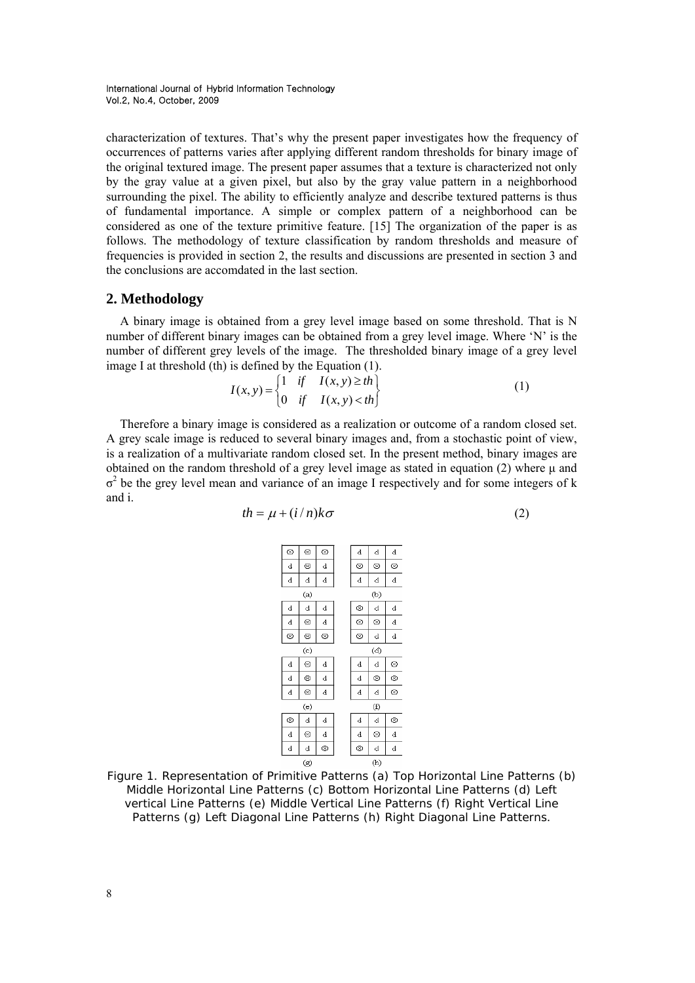characterization of textures. That's why the present paper investigates how the frequency of occurrences of patterns varies after applying different random thresholds for binary image of the original textured image. The present paper assumes that a texture is characterized not only by the gray value at a given pixel, but also by the gray value pattern in a neighborhood surrounding the pixel. The ability to efficiently analyze and describe textured patterns is thus of fundamental importance. A simple or complex pattern of a neighborhood can be considered as one of the texture primitive feature. [15] The organization of the paper is as follows. The methodology of texture classification by random thresholds and measure of frequencies is provided in section 2, the results and discussions are presented in section 3 and the conclusions are accomdated in the last section.

### **2. Methodology**

A binary image is obtained from a grey level image based on some threshold. That is N number of different binary images can be obtained from a grey level image. Where 'N' is the number of different grey levels of the image. The thresholded binary image of a grey level image I at threshold (th) is defined by the Equation (1).

$$
I(x, y) = \begin{cases} 1 & \text{if } I(x, y) \ge th \\ 0 & \text{if } I(x, y) < th \end{cases}
$$
 (1)

Therefore a binary image is considered as a realization or outcome of a random closed set. A grey scale image is reduced to several binary images and, from a stochastic point of view, is a realization of a multivariate random closed set. In the present method, binary images are obtained on the random threshold of a grey level image as stated in equation (2) where μ and  $\sigma^2$  be the grey level mean and variance of an image I respectively and for some integers of k and i.

$$
th = \mu + (i/n)k\sigma \tag{2}
$$

$$
\alpha
$$



Figure 1. Representation of Primitive Patterns (a) Top Horizontal Line Patterns (b) Middle Horizontal Line Patterns (c) Bottom Horizontal Line Patterns (d) Left vertical Line Patterns (e) Middle Vertical Line Patterns (f) Right Vertical Line Patterns (g) Left Diagonal Line Patterns (h) Right Diagonal Line Patterns.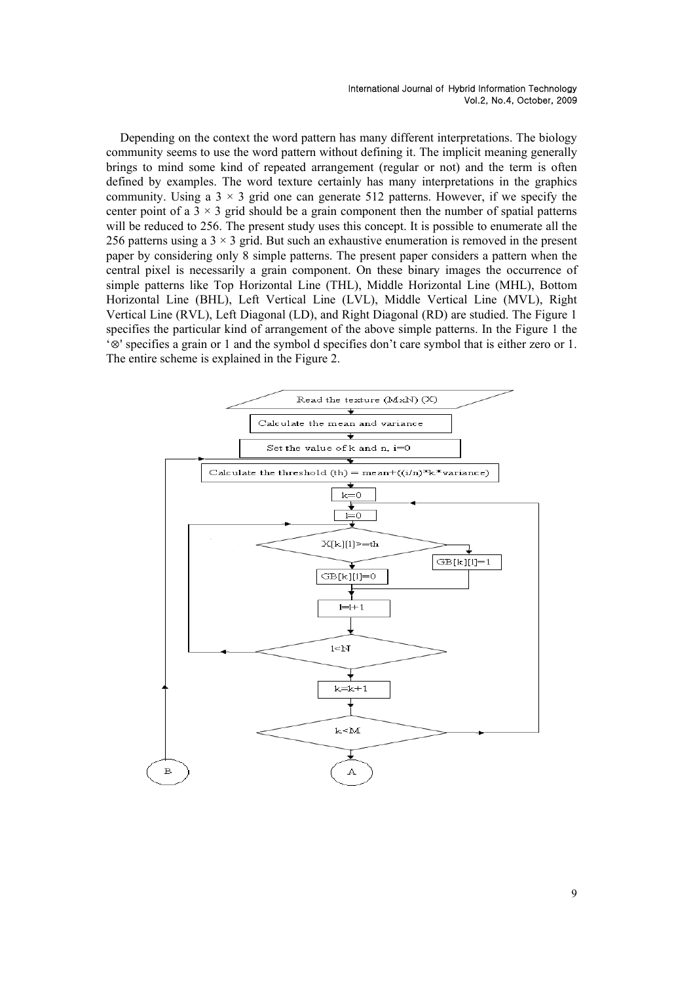Depending on the context the word pattern has many different interpretations. The biology community seems to use the word pattern without defining it. The implicit meaning generally brings to mind some kind of repeated arrangement (regular or not) and the term is often defined by examples. The word texture certainly has many interpretations in the graphics community. Using a  $3 \times 3$  grid one can generate 512 patterns. However, if we specify the center point of a  $3 \times 3$  grid should be a grain component then the number of spatial patterns will be reduced to 256. The present study uses this concept. It is possible to enumerate all the 256 patterns using a  $3 \times 3$  grid. But such an exhaustive enumeration is removed in the present paper by considering only 8 simple patterns. The present paper considers a pattern when the central pixel is necessarily a grain component. On these binary images the occurrence of simple patterns like Top Horizontal Line (THL), Middle Horizontal Line (MHL), Bottom Horizontal Line (BHL), Left Vertical Line (LVL), Middle Vertical Line (MVL), Right Vertical Line (RVL), Left Diagonal (LD), and Right Diagonal (RD) are studied. The Figure 1 specifies the particular kind of arrangement of the above simple patterns. In the Figure 1 the '⊗' specifies a grain or 1 and the symbol d specifies don't care symbol that is either zero or 1. The entire scheme is explained in the Figure 2.

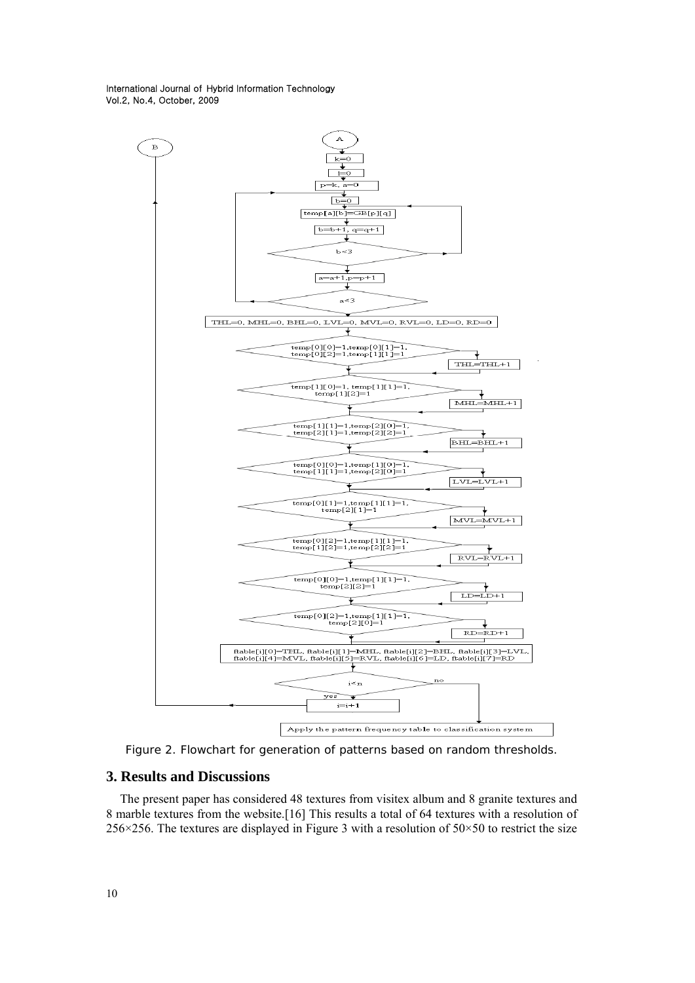

Figure 2. Flowchart for generation of patterns based on random thresholds.

## **3. Results and Discussions**

The present paper has considered 48 textures from visitex album and 8 granite textures and 8 marble textures from the website.[16] This results a total of 64 textures with a resolution of 256×256. The textures are displayed in Figure 3 with a resolution of  $50 \times 50$  to restrict the size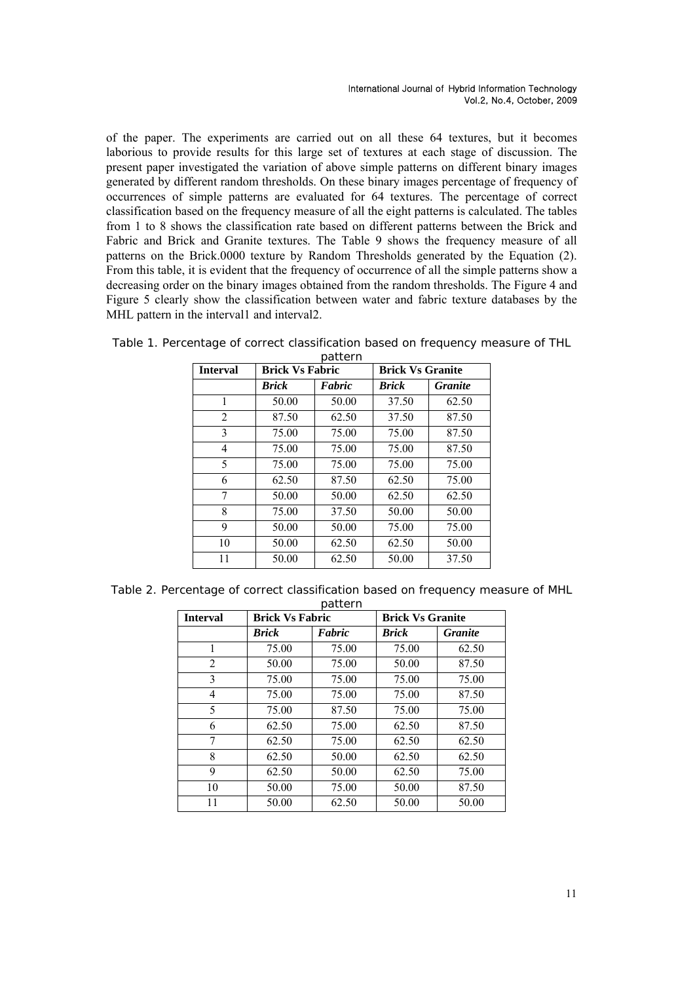of the paper. The experiments are carried out on all these 64 textures, but it becomes laborious to provide results for this large set of textures at each stage of discussion. The present paper investigated the variation of above simple patterns on different binary images generated by different random thresholds. On these binary images percentage of frequency of occurrences of simple patterns are evaluated for 64 textures. The percentage of correct classification based on the frequency measure of all the eight patterns is calculated. The tables from 1 to 8 shows the classification rate based on different patterns between the Brick and Fabric and Brick and Granite textures. The Table 9 shows the frequency measure of all patterns on the Brick.0000 texture by Random Thresholds generated by the Equation (2). From this table, it is evident that the frequency of occurrence of all the simple patterns show a decreasing order on the binary images obtained from the random thresholds. The Figure 4 and Figure 5 clearly show the classification between water and fabric texture databases by the MHL pattern in the interval1 and interval2.

| <b>Interval</b> | <b>Brick Vs Fabric</b> |        | <b>Brick Vs Granite</b> |                |  |
|-----------------|------------------------|--------|-------------------------|----------------|--|
|                 | <b>Brick</b>           | Fabric | <b>Brick</b>            | <b>Granite</b> |  |
| 1               | 50.00                  | 50.00  | 37.50                   | 62.50          |  |
| 2               | 87.50                  | 62.50  | 37.50                   | 87.50          |  |
| 3               | 75.00                  | 75.00  | 75.00                   | 87.50          |  |
| 4               | 75.00                  | 75.00  | 75.00                   | 87.50          |  |
| 5               | 75.00                  | 75.00  | 75.00                   | 75.00          |  |
| 6               | 62.50                  | 87.50  | 62.50                   | 75.00          |  |
| 7               | 50.00                  | 50.00  | 62.50                   | 62.50          |  |
| 8               | 75.00                  | 37.50  | 50.00                   | 50.00          |  |
| 9               | 50.00                  | 50.00  | 75.00                   | 75.00          |  |
| 10              | 50.00                  | 62.50  | 62.50                   | 50.00          |  |
| 11              | 50.00                  | 62.50  | 50.00                   | 37.50          |  |

|  | Table 1. Percentage of correct classification based on frequency measure of THL |  |  |
|--|---------------------------------------------------------------------------------|--|--|
|  | nattern                                                                         |  |  |

|  | Table 2. Percentage of correct classification based on frequency measure of MHL |  |  |
|--|---------------------------------------------------------------------------------|--|--|
|  |                                                                                 |  |  |

| <b>Interval</b> | <b>Brick Vs Fabric</b> | pattern | <b>Brick Vs Granite</b> |                |  |
|-----------------|------------------------|---------|-------------------------|----------------|--|
|                 | <b>Brick</b>           | Fabric  | <b>Brick</b>            | <b>Granite</b> |  |
| 1               | 75.00                  | 75.00   | 75.00                   | 62.50          |  |
| 2               | 50.00                  | 75.00   | 50.00                   | 87.50          |  |
| 3               | 75.00                  | 75.00   | 75.00                   | 75.00          |  |
| 4               | 75.00                  | 75.00   | 75.00                   | 87.50          |  |
| 5               | 75.00                  | 87.50   | 75.00                   | 75.00          |  |
| 6               | 62.50                  | 75.00   | 62.50                   | 87.50          |  |
| 7               | 62.50                  | 75.00   | 62.50                   | 62.50          |  |
| 8               | 62.50                  | 50.00   | 62.50                   | 62.50          |  |
| 9               | 62.50                  | 50.00   | 62.50                   | 75.00          |  |
| 10              | 50.00                  | 75.00   | 50.00                   | 87.50          |  |
| 11              | 50.00                  | 62.50   | 50.00                   | 50.00          |  |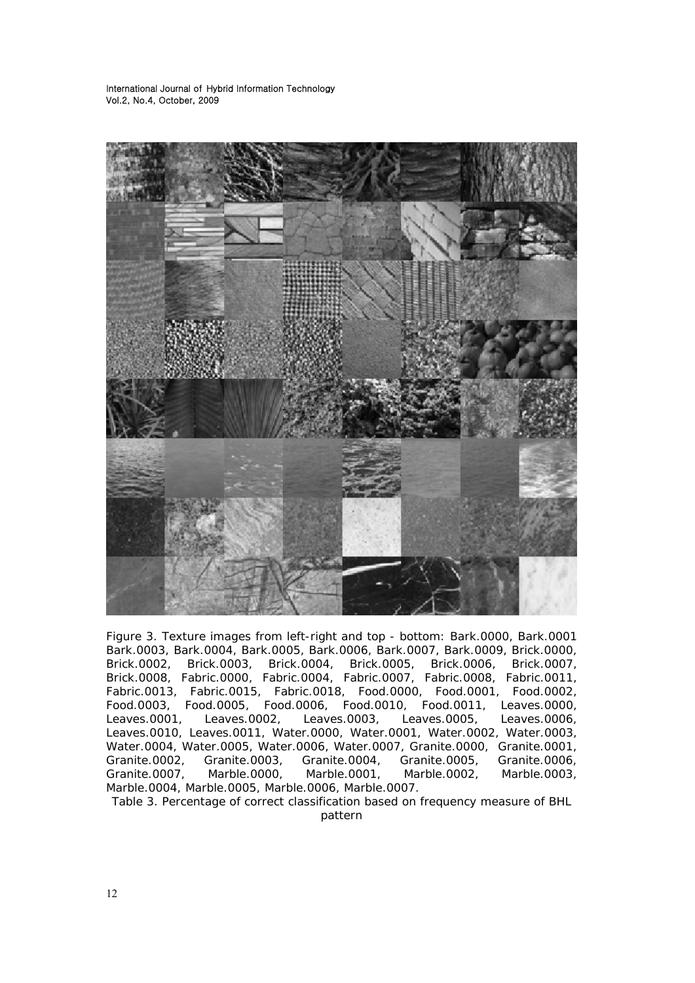

Figure 3. Texture images from left-right and top - bottom: Bark.0000, Bark.0001 Bark.0003, Bark.0004, Bark.0005, Bark.0006, Bark.0007, Bark.0009, Brick.0000, Brick.0002, Brick.0003, Brick.0004, Brick.0005, Brick.0006, Brick.0007, Brick.0008, Fabric.0000, Fabric.0004, Fabric.0007, Fabric.0008, Fabric.0011, Fabric.0013, Fabric.0015, Fabric.0018, Food.0000, Food.0001, Food.0002, Food.0003, Food.0005, Food.0006, Food.0010, Food.0011, Leaves.0000, Leaves.0001, Leaves.0002, Leaves.0003, Leaves.0005, Leaves.0006, Leaves.0010, Leaves.0011, Water.0000, Water.0001, Water.0002, Water.0003, Water.0004, Water.0005, Water.0006, Water.0007, Granite.0000, Granite.0001, Granite.0002, Granite.0003, Granite.0004, Granite.0005, Granite.0006, Granite.0007, Marble.0000, Marble.0001, Marble.0002, Marble.0003, Marble.0004, Marble.0005, Marble.0006, Marble.0007.

Table 3. Percentage of correct classification based on frequency measure of BHL pattern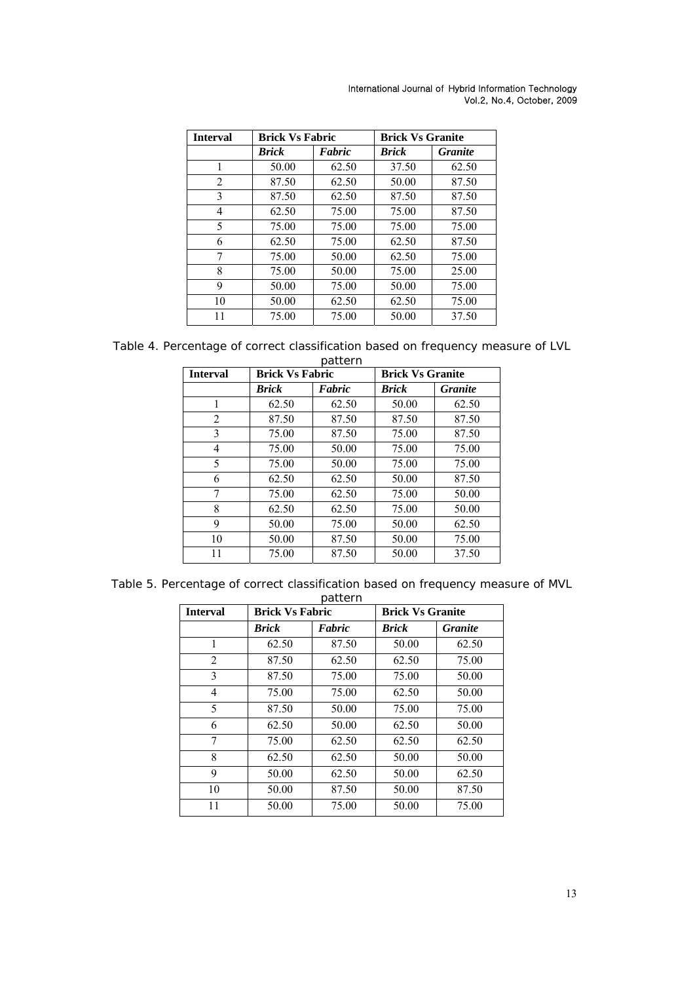| <b>Interval</b> | <b>Brick Vs Fabric</b> |        | <b>Brick Vs Granite</b> |                |
|-----------------|------------------------|--------|-------------------------|----------------|
|                 | <b>Brick</b>           | Fabric | <b>Brick</b>            | <b>Granite</b> |
| 1               | 50.00                  | 62.50  | 37.50                   | 62.50          |
| $\overline{2}$  | 87.50                  | 62.50  | 50.00                   | 87.50          |
| 3               | 87.50                  | 62.50  | 87.50                   | 87.50          |
| 4               | 62.50                  | 75.00  | 75.00                   | 87.50          |
| 5               | 75.00                  | 75.00  | 75.00                   | 75.00          |
| 6               | 62.50                  | 75.00  | 62.50                   | 87.50          |
| 7               | 75.00                  | 50.00  | 62.50                   | 75.00          |
| 8               | 75.00                  | 50.00  | 75.00                   | 25.00          |
| 9               | 50.00                  | 75.00  | 50.00                   | 75.00          |
| 10              | 50.00                  | 62.50  | 62.50                   | 75.00          |
| 11              | 75.00                  | 75.00  | 50.00                   | 37.50          |

Table 4. Percentage of correct classification based on frequency measure of LVL

| pattern         |                        |        |                         |                |  |  |  |
|-----------------|------------------------|--------|-------------------------|----------------|--|--|--|
| <b>Interval</b> | <b>Brick Vs Fabric</b> |        | <b>Brick Vs Granite</b> |                |  |  |  |
|                 | <b>Brick</b>           | Fabric | <b>Brick</b>            | <b>Granite</b> |  |  |  |
| 1               | 62.50                  | 62.50  | 50.00                   | 62.50          |  |  |  |
| 2               | 87.50                  | 87.50  | 87.50                   | 87.50          |  |  |  |
| 3               | 75.00                  | 87.50  | 75.00                   | 87.50          |  |  |  |
| 4               | 75.00                  | 50.00  | 75.00                   | 75.00          |  |  |  |
| 5               | 75.00                  | 50.00  | 75.00                   | 75.00          |  |  |  |
| 6               | 62.50                  | 62.50  | 50.00                   | 87.50          |  |  |  |
| 7               | 75.00                  | 62.50  | 75.00                   | 50.00          |  |  |  |
| 8               | 62.50                  | 62.50  | 75.00                   | 50.00          |  |  |  |
| 9               | 50.00                  | 75.00  | 50.00                   | 62.50          |  |  |  |
| 10              | 50.00                  | 87.50  | 50.00                   | 75.00          |  |  |  |
| 11              | 75.00                  | 87.50  | 50.00                   | 37.50          |  |  |  |

|  | Table 5. Percentage of correct classification based on frequency measure of MVL |  |  |  |
|--|---------------------------------------------------------------------------------|--|--|--|
|  |                                                                                 |  |  |  |

| <b>Interval</b> | <b>Brick Vs Fabric</b> |        | <b>Brick Vs Granite</b> |                |  |
|-----------------|------------------------|--------|-------------------------|----------------|--|
|                 | Brick                  | Fabric | <b>Brick</b>            | <b>Granite</b> |  |
| 1               | 62.50                  | 87.50  | 50.00                   | 62.50          |  |
| $\overline{2}$  | 87.50                  | 62.50  | 62.50                   | 75.00          |  |
| 3               | 87.50                  | 75.00  | 75.00                   | 50.00          |  |
| $\overline{4}$  | 75.00                  | 75.00  | 62.50                   | 50.00          |  |
| 5               | 87.50                  | 50.00  | 75.00                   | 75.00          |  |
| 6               | 62.50                  | 50.00  | 62.50                   | 50.00          |  |
| 7               | 75.00                  | 62.50  | 62.50                   | 62.50          |  |
| 8               | 62.50                  | 62.50  | 50.00                   | 50.00          |  |
| 9               | 50.00                  | 62.50  | 50.00                   | 62.50          |  |
| 10              | 50.00                  | 87.50  | 50.00                   | 87.50          |  |
| 11              | 50.00                  | 75.00  | 50.00                   | 75.00          |  |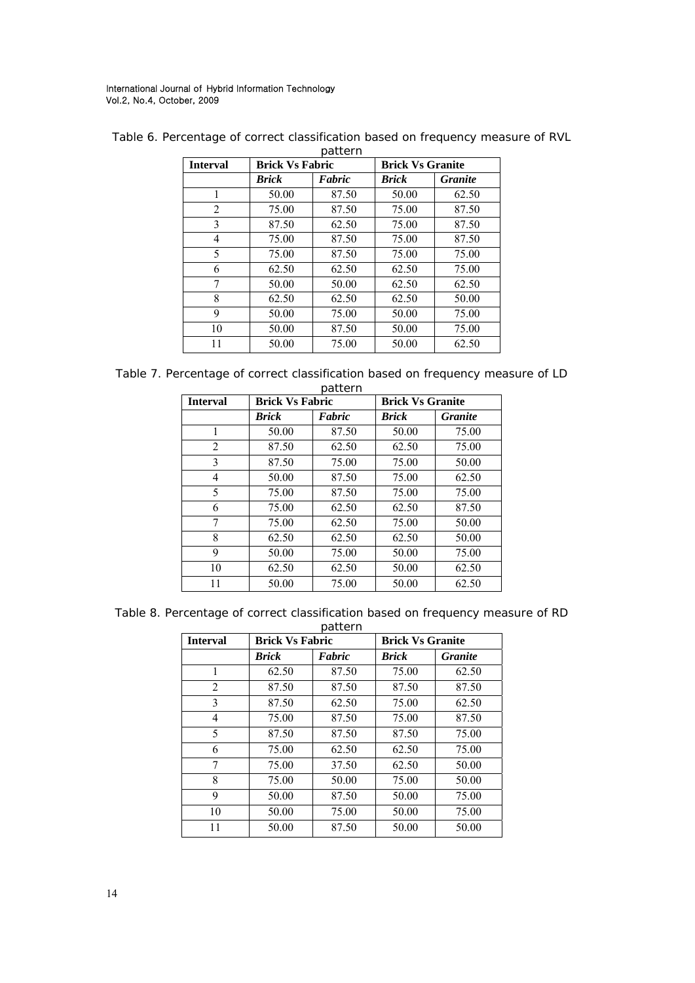| <b>Interval</b> | <b>Brick Vs Fabric</b> |        | <b>Brick Vs Granite</b> |                |  |
|-----------------|------------------------|--------|-------------------------|----------------|--|
|                 | <b>Brick</b>           | Fabric | <b>Brick</b>            | <b>Granite</b> |  |
| 1               | 50.00                  | 87.50  | 50.00                   | 62.50          |  |
| 2               | 75.00                  | 87.50  | 75.00                   | 87.50          |  |
| 3               | 87.50                  | 62.50  | 75.00                   | 87.50          |  |
| 4               | 75.00                  | 87.50  | 75.00                   | 87.50          |  |
| 5               | 75.00                  | 87.50  | 75.00                   | 75.00          |  |
| 6               | 62.50                  | 62.50  | 62.50                   | 75.00          |  |
| 7               | 50.00                  | 50.00  | 62.50                   | 62.50          |  |
| 8               | 62.50                  | 62.50  | 62.50                   | 50.00          |  |
| 9               | 50.00                  | 75.00  | 50.00                   | 75.00          |  |
| 10              | 50.00                  | 87.50  | 50.00                   | 75.00          |  |
| 11              | 50.00                  | 75.00  | 50.00                   | 62.50          |  |

Table 6. Percentage of correct classification based on frequency measure of RVL  $\frac{1}{2}$ 

|  |  | Table 7. Percentage of correct classification based on frequency measure of LD |  |  |  |
|--|--|--------------------------------------------------------------------------------|--|--|--|
|  |  | pattern                                                                        |  |  |  |

| <b>Interval</b> | <b>Brick Vs Fabric</b> |        | <b>Brick Vs Granite</b> |                |  |
|-----------------|------------------------|--------|-------------------------|----------------|--|
|                 | <b>Brick</b>           | Fabric | Brick                   | <b>Granite</b> |  |
| 1               | 50.00                  | 87.50  | 50.00                   | 75.00          |  |
| 2               | 87.50                  | 62.50  | 62.50                   | 75.00          |  |
| 3               | 87.50                  | 75.00  | 75.00                   | 50.00          |  |
| 4               | 50.00                  | 87.50  | 75.00                   | 62.50          |  |
| 5               | 75.00                  | 87.50  | 75.00                   | 75.00          |  |
| 6               | 75.00                  | 62.50  | 62.50                   | 87.50          |  |
| 7               | 75.00                  | 62.50  | 75.00                   | 50.00          |  |
| 8               | 62.50                  | 62.50  | 62.50                   | 50.00          |  |
| 9               | 50.00                  | 75.00  | 50.00                   | 75.00          |  |
| 10              | 62.50                  | 62.50  | 50.00                   | 62.50          |  |
| 11              | 50.00                  | 75.00  | 50.00                   | 62.50          |  |

Table 8. Percentage of correct classification based on frequency measure of RD

| pattern         |                        |        |                         |                |  |  |
|-----------------|------------------------|--------|-------------------------|----------------|--|--|
| <b>Interval</b> | <b>Brick Vs Fabric</b> |        | <b>Brick Vs Granite</b> |                |  |  |
|                 | Brick                  | Fabric | Brick                   | <b>Granite</b> |  |  |
| 1               | 62.50                  | 87.50  | 75.00                   | 62.50          |  |  |
| 2               | 87.50                  | 87.50  | 87.50                   | 87.50          |  |  |
| 3               | 87.50                  | 62.50  | 75.00                   | 62.50          |  |  |
| 4               | 75.00                  | 87.50  | 75.00                   | 87.50          |  |  |
| 5               | 87.50                  | 87.50  | 87.50                   | 75.00          |  |  |
| 6               | 75.00                  | 62.50  | 62.50                   | 75.00          |  |  |
| 7               | 75.00                  | 37.50  | 62.50                   | 50.00          |  |  |
| 8               | 75.00                  | 50.00  | 75.00                   | 50.00          |  |  |
| 9               | 50.00                  | 87.50  | 50.00                   | 75.00          |  |  |
| 10              | 50.00                  | 75.00  | 50.00                   | 75.00          |  |  |
| 11              | 50.00                  | 87.50  | 50.00                   | 50.00          |  |  |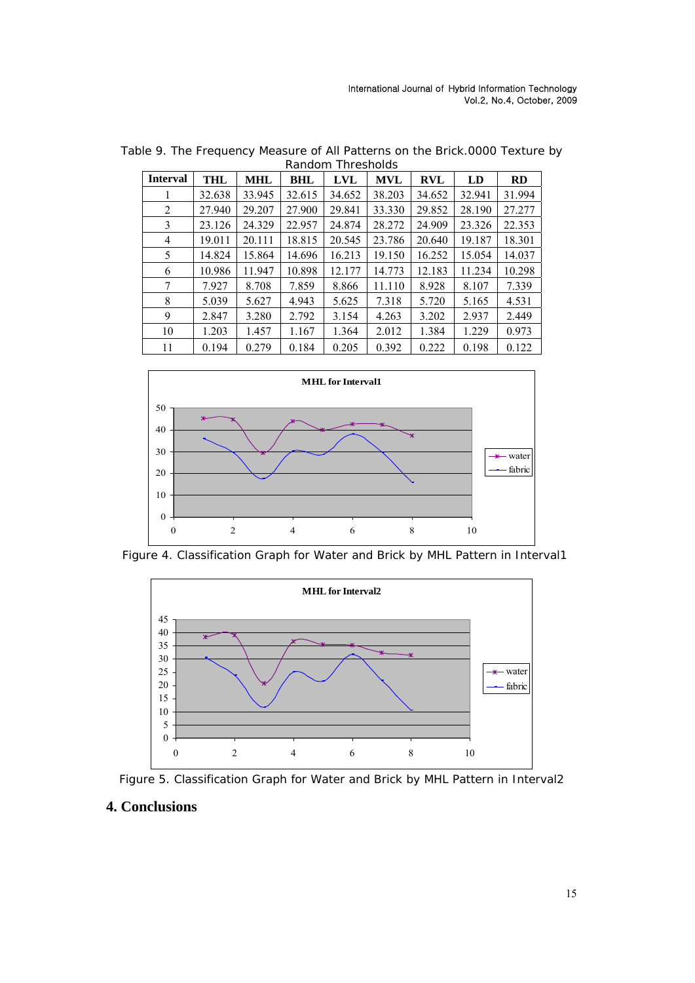| <b>Interval</b> | <b>THL</b> | <b>MHL</b> | <b>BHL</b> | <b>LVL</b> | <b>MVL</b> | <b>RVL</b> | LD     | RD     |
|-----------------|------------|------------|------------|------------|------------|------------|--------|--------|
|                 | 32.638     | 33.945     | 32.615     | 34.652     | 38.203     | 34.652     | 32.941 | 31.994 |
| 2               | 27.940     | 29.207     | 27.900     | 29.841     | 33.330     | 29.852     | 28.190 | 27.277 |
| 3               | 23.126     | 24.329     | 22.957     | 24.874     | 28.272     | 24.909     | 23.326 | 22.353 |
| $\overline{4}$  | 19.011     | 20.111     | 18.815     | 20.545     | 23.786     | 20.640     | 19.187 | 18.301 |
| 5               | 14.824     | 15.864     | 14.696     | 16.213     | 19.150     | 16.252     | 15.054 | 14.037 |
| 6               | 10.986     | 11.947     | 10.898     | 12.177     | 14.773     | 12.183     | 11.234 | 10.298 |
| 7               | 7.927      | 8.708      | 7.859      | 8.866      | 11.110     | 8.928      | 8.107  | 7.339  |
| 8               | 5.039      | 5.627      | 4.943      | 5.625      | 7.318      | 5.720      | 5.165  | 4.531  |
| 9               | 2.847      | 3.280      | 2.792      | 3.154      | 4.263      | 3.202      | 2.937  | 2.449  |
| 10              | 1.203      | 1.457      | 1.167      | 1.364      | 2.012      | 1.384      | 1.229  | 0.973  |
| 11              | 0.194      | 0.279      | 0.184      | 0.205      | 0.392      | 0.222      | 0.198  | 0.122  |

Table 9. The Frequency Measure of All Patterns on the Brick.0000 Texture by Random Thresholds



Figure 4. Classification Graph for Water and Brick by MHL Pattern in Interval1





# **4. Conclusions**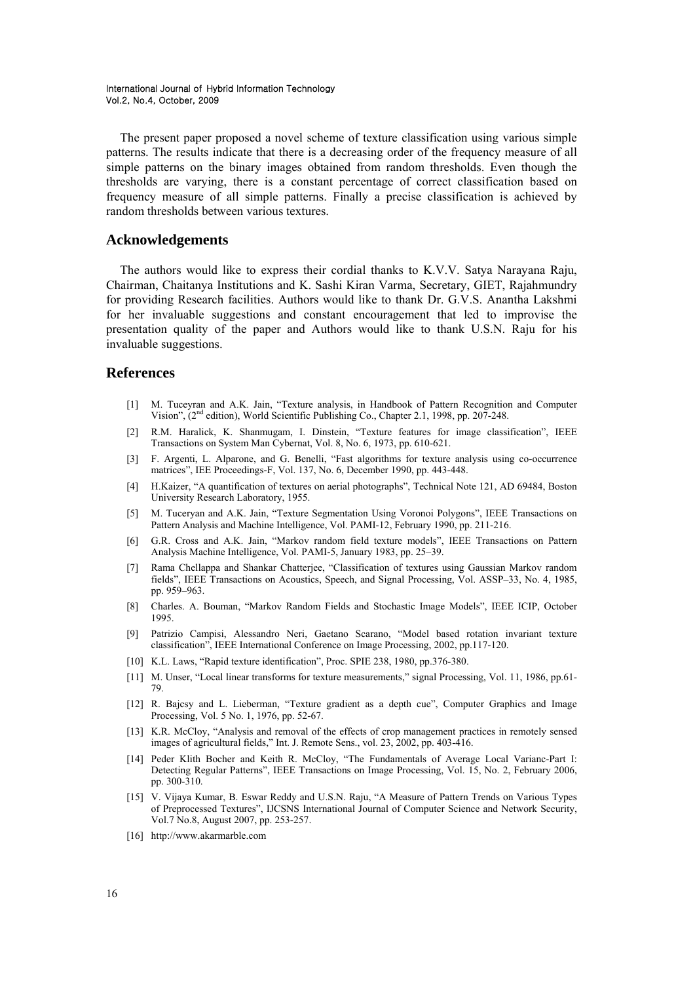The present paper proposed a novel scheme of texture classification using various simple patterns. The results indicate that there is a decreasing order of the frequency measure of all simple patterns on the binary images obtained from random thresholds. Even though the thresholds are varying, there is a constant percentage of correct classification based on frequency measure of all simple patterns. Finally a precise classification is achieved by random thresholds between various textures.

## **Acknowledgements**

The authors would like to express their cordial thanks to K.V.V. Satya Narayana Raju, Chairman, Chaitanya Institutions and K. Sashi Kiran Varma, Secretary, GIET, Rajahmundry for providing Research facilities. Authors would like to thank Dr. G.V.S. Anantha Lakshmi for her invaluable suggestions and constant encouragement that led to improvise the presentation quality of the paper and Authors would like to thank U.S.N. Raju for his invaluable suggestions.

### **References**

- [1] M. Tuceyran and A.K. Jain, "Texture analysis, in Handbook of Pattern Recognition and Computer Vision", (2nd edition), World Scientific Publishing Co., Chapter 2.1, 1998, pp. 207-248.
- [2] R.M. Haralick, K. Shanmugam, I. Dinstein, "Texture features for image classification", IEEE Transactions on System Man Cybernat, Vol. 8, No. 6, 1973, pp. 610-621.
- [3] F. Argenti, L. Alparone, and G. Benelli, "Fast algorithms for texture analysis using co-occurrence matrices", IEE Proceedings-F, Vol. 137, No. 6, December 1990, pp. 443-448.
- [4] H.Kaizer, "A quantification of textures on aerial photographs", Technical Note 121, AD 69484, Boston University Research Laboratory, 1955.
- [5] M. Tuceryan and A.K. Jain, "Texture Segmentation Using Voronoi Polygons", IEEE Transactions on Pattern Analysis and Machine Intelligence, Vol. PAMI-12, February 1990, pp. 211-216.
- [6] G.R. Cross and A.K. Jain, "Markov random field texture models", IEEE Transactions on Pattern Analysis Machine Intelligence, Vol. PAMI-5, January 1983, pp. 25–39.
- [7] Rama Chellappa and Shankar Chatterjee, "Classification of textures using Gaussian Markov random fields", IEEE Transactions on Acoustics, Speech, and Signal Processing, Vol. ASSP–33, No. 4, 1985, pp. 959–963.
- [8] Charles. A. Bouman, "Markov Random Fields and Stochastic Image Models", IEEE ICIP, October 1995.
- [9] Patrizio Campisi, Alessandro Neri, Gaetano Scarano, "Model based rotation invariant texture classification", IEEE International Conference on Image Processing, 2002, pp.117-120.
- [10] K.L. Laws, "Rapid texture identification", Proc. SPIE 238, 1980, pp.376-380.
- [11] M. Unser, "Local linear transforms for texture measurements," signal Processing, Vol. 11, 1986, pp.61- 79.
- [12] R. Bajcsy and L. Lieberman, "Texture gradient as a depth cue", Computer Graphics and Image Processing, Vol. 5 No. 1, 1976, pp. 52-67.
- [13] K.R. McCloy, "Analysis and removal of the effects of crop management practices in remotely sensed images of agricultural fields," Int. J. Remote Sens., vol. 23, 2002, pp. 403-416.
- [14] Peder Klith Bocher and Keith R. McCloy, "The Fundamentals of Average Local Varianc-Part I: Detecting Regular Patterns", IEEE Transactions on Image Processing, Vol. 15, No. 2, February 2006, pp. 300-310.
- [15] V. Vijaya Kumar, B. Eswar Reddy and U.S.N. Raju, "A Measure of Pattern Trends on Various Types of Preprocessed Textures", IJCSNS International Journal of Computer Science and Network Security, Vol.7 No.8, August 2007, pp. 253-257.
- [16] http://www.akarmarble.com